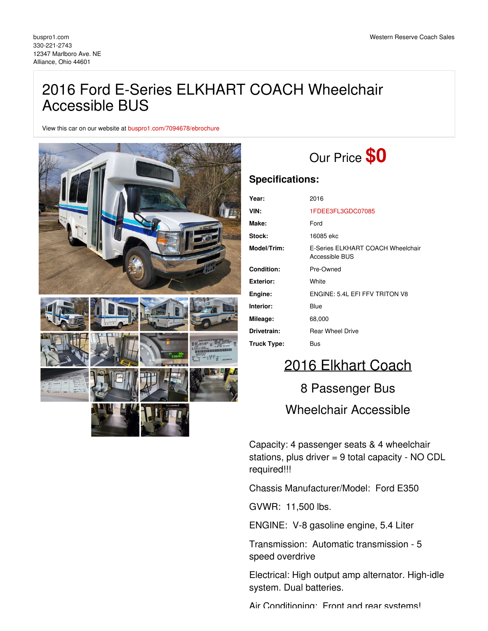## 2016 Ford E-Series ELKHART COACH Wheelchair Accessible BUS

View this car on our website at [buspro1.com/7094678/ebrochure](https://buspro1.com/vehicle/7094678/2016-ford-e-series-elkhart-coach-wheelchair-accessible-bus-alliance-ohio-44601/7094678/ebrochure)



# Our Price **\$0**

### **Specifications:**

| Year:              | 2016                                                |
|--------------------|-----------------------------------------------------|
| VIN:               | 1FDEE3FL3GDC07085                                   |
| Make:              | Ford                                                |
| Stock:             | 16085 ekc                                           |
| Model/Trim:        | E-Series ELKHART COACH Wheelchair<br>Accessible BUS |
| Condition:         | Pre-Owned                                           |
| Exterior:          | White                                               |
| Engine:            | FNGINE: 5.4L FFL FFV TRITON V8                      |
| Interior:          | Blue                                                |
| Mileage:           | 68,000                                              |
| Drivetrain:        | <b>Rear Wheel Drive</b>                             |
| <b>Truck Type:</b> | Bus                                                 |

## 2016 Elkhart Coach

# 8 Passenger Bus Wheelchair Accessible

Capacity: 4 passenger seats & 4 wheelchair stations, plus driver = 9 total capacity - NO CDL required!!!

Chassis Manufacturer/Model: Ford E350

GVWR: 11,500 lbs.

ENGINE: V-8 gasoline engine, 5.4 Liter

Transmission: Automatic transmission - 5 speed overdrive

Electrical: High output amp alternator. High-idle system. Dual batteries.

Air Conditioning: Front and rear systems!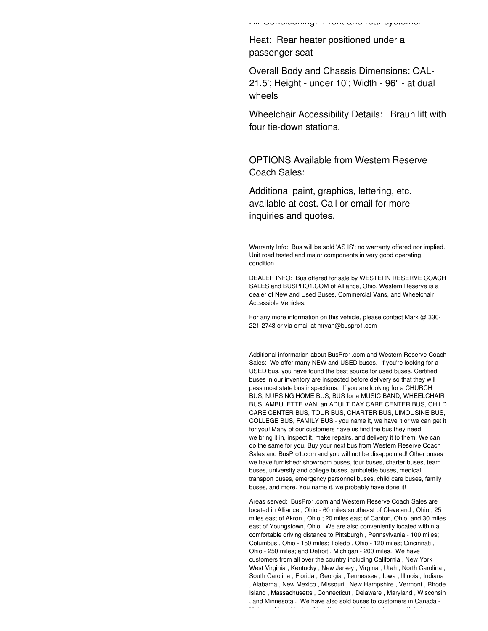Air Conditioning: Front and rear systems!

Heat: Rear heater positioned under a passenger seat

Overall Body and Chassis Dimensions: OAL-21.5'; Height - under 10'; Width - 96" - at dual wheels

Wheelchair Accessibility Details: Braun lift with four tie-down stations.

OPTIONS Available from Western Reserve Coach Sales:

Additional paint, graphics, lettering, etc. available at cost. Call or email for more inquiries and quotes.

Warranty Info: Bus will be sold 'AS IS'; no warranty offered nor implied. Unit road tested and major components in very good operating condition.

DEALER INFO: Bus offered for sale by WESTERN RESERVE COACH SALES and BUSPRO1.COM of Alliance, Ohio. Western Reserve is a dealer of New and Used Buses, Commercial Vans, and Wheelchair Accessible Vehicles.

For any more information on this vehicle, please contact Mark @ 330- 221-2743 or via email at mryan@buspro1.com

Additional information about BusPro1.com and Western Reserve Coach Sales: We offer many NEW and USED buses. If you're looking for a USED bus, you have found the best source for used buses. Certified buses in our inventory are inspected before delivery so that they will pass most state bus inspections. If you are looking for a CHURCH BUS, NURSING HOME BUS, BUS for a MUSIC BAND, WHEELCHAIR BUS, AMBULETTE VAN, an ADULT DAY CARE CENTER BUS, CHILD CARE CENTER BUS, TOUR BUS, CHARTER BUS, LIMOUSINE BUS, COLLEGE BUS, FAMILY BUS - you name it, we have it or we can get it for you! Many of our customers have us find the bus they need, we bring it in, inspect it, make repairs, and delivery it to them. We can do the same for you. Buy your next bus from Western Reserve Coach Sales and BusPro1.com and you will not be disappointed! Other buses we have furnished: showroom buses, tour buses, charter buses, team buses, university and college buses, ambulette buses, medical transport buses, emergency personnel buses, child care buses, family buses, and more. You name it, we probably have done it!

Areas served: BusPro1.com and Western Reserve Coach Sales are located in Alliance , Ohio - 60 miles southeast of Cleveland , Ohio ; 25 miles east of Akron , Ohio ; 20 miles east of Canton, Ohio; and 30 miles east of Youngstown, Ohio. We are also conveniently located within a comfortable driving distance to Pittsburgh , Pennsylvania - 100 miles; Columbus , Ohio - 150 miles; Toledo , Ohio - 120 miles; Cincinnati , Ohio - 250 miles; and Detroit , Michigan - 200 miles. We have customers from all over the country including California , New York , West Virginia , Kentucky , New Jersey , Virgina , Utah , North Carolina , South Carolina , Florida , Georgia , Tennessee , Iowa , Illinois , Indiana , Alabama , New Mexico , Missouri , New Hampshire , Vermont , Rhode Island , Massachusetts , Connecticut , Delaware , Maryland , Wisconsin , and Minnesota . We have also sold buses to customers in Canada - Ontario , Nova Scotia , New Brunswick , Saskatchewan , British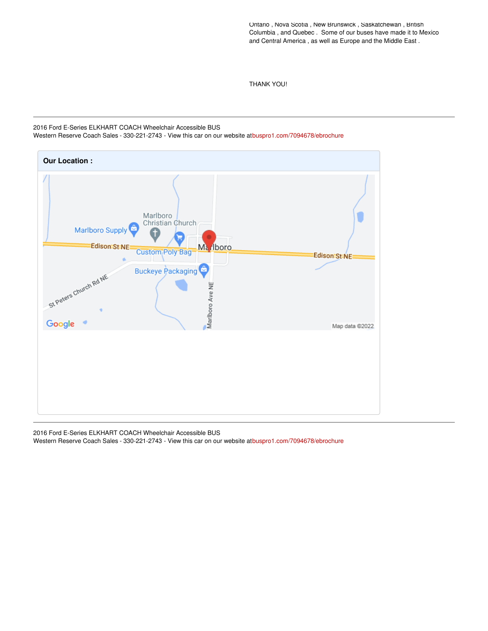Ontario , Nova Scotia , New Brunswick , Saskatchewan , British Columbia , and Quebec . Some of our buses have made it to Mexico and Central America , as well as Europe and the Middle East .

THANK YOU!

#### 2016 Ford E-Series ELKHART COACH Wheelchair Accessible BUS

Western Reserve Coach Sales - 330-221-2743 - View this car on our website a[tbuspro1.com/7094678/ebrochure](https://buspro1.com/vehicle/7094678/2016-ford-e-series-elkhart-coach-wheelchair-accessible-bus-alliance-ohio-44601/7094678/ebrochure)



2016 Ford E-Series ELKHART COACH Wheelchair Accessible BUS Western Reserve Coach Sales - 330-221-2743 - View this car on our website a[tbuspro1.com/7094678/ebrochure](https://buspro1.com/vehicle/7094678/2016-ford-e-series-elkhart-coach-wheelchair-accessible-bus-alliance-ohio-44601/7094678/ebrochure)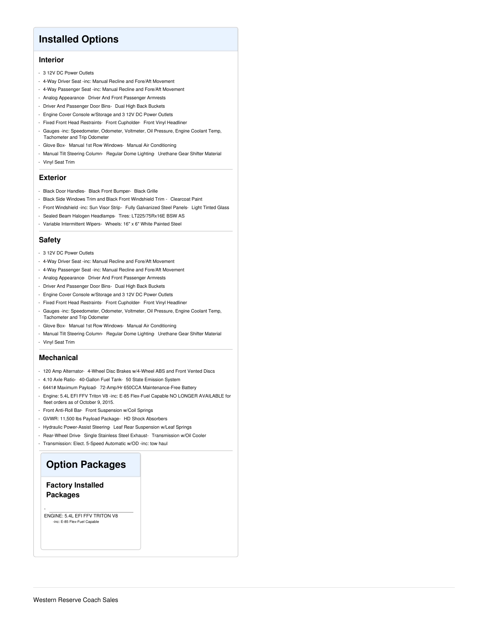### **Installed Options**

#### **Interior**

- 3 12V DC Power Outlets
- 4-Way Driver Seat -inc: Manual Recline and Fore/Aft Movement
- 4-Way Passenger Seat -inc: Manual Recline and Fore/Aft Movement
- Analog Appearance- Driver And Front Passenger Armrests
- Driver And Passenger Door Bins- Dual High Back Buckets
- Engine Cover Console w/Storage and 3 12V DC Power Outlets
- Fixed Front Head Restraints- Front Cupholder- Front Vinyl Headliner
- Gauges -inc: Speedometer, Odometer, Voltmeter, Oil Pressure, Engine Coolant Temp, Tachometer and Trip Odometer
- Glove Box- Manual 1st Row Windows- Manual Air Conditioning
- Manual Tilt Steering Column- Regular Dome Lighting- Urethane Gear Shifter Material - Vinyl Seat Trim

#### **Exterior**

- Black Door Handles- Black Front Bumper- Black Grille
- Black Side Windows Trim and Black Front Windshield Trim Clearcoat Paint
- Front Windshield -inc: Sun Visor Strip- Fully Galvanized Steel Panels- Light Tinted Glass
- Sealed Beam Halogen Headlamps- Tires: LT225/75Rx16E BSW AS
- Variable Intermittent Wipers- Wheels: 16" x 6" White Painted Steel

#### **Safety**

- 3 12V DC Power Outlets
- 4-Way Driver Seat -inc: Manual Recline and Fore/Aft Movement
- 4-Way Passenger Seat -inc: Manual Recline and Fore/Aft Movement
- Analog Appearance- Driver And Front Passenger Armrests
- Driver And Passenger Door Bins- Dual High Back Buckets
- Engine Cover Console w/Storage and 3 12V DC Power Outlets
- Fixed Front Head Restraints- Front Cupholder- Front Vinyl Headliner
- Gauges -inc: Speedometer, Odometer, Voltmeter, Oil Pressure, Engine Coolant Temp, Tachometer and Trip Odometer
- Glove Box- Manual 1st Row Windows- Manual Air Conditioning
- Manual Tilt Steering Column- Regular Dome Lighting- Urethane Gear Shifter Material
- Vinyl Seat Trim

#### **Mechanical**

- 120 Amp Alternator- 4-Wheel Disc Brakes w/4-Wheel ABS and Front Vented Discs
- 4.10 Axle Ratio- 40-Gallon Fuel Tank- 50 State Emission System
- 6441# Maximum Payload- 72-Amp/Hr 650CCA Maintenance-Free Battery
- Engine: 5.4L EFI FFV Triton V8 -inc: E-85 Flex-Fuel Capable NO LONGER AVAILABLE for fleet orders as of October 9, 2015.
- Front Anti-Roll Bar- Front Suspension w/Coil Springs
- GVWR: 11,500 lbs Payload Package- HD Shock Absorbers
- Hydraulic Power-Assist Steering- Leaf Rear Suspension w/Leaf Springs
- Rear-Wheel Drive Single Stainless Steel Exhaust- Transmission w/Oil Cooler
- Transmission: Elect. 5-Speed Automatic w/OD -inc: tow haul

## **Option Packages**

#### **Factory Installed Packages**

-

ENGINE: 5.4L EFI FFV TRITON V8 nc: E-85 Flex-Fuel Capa